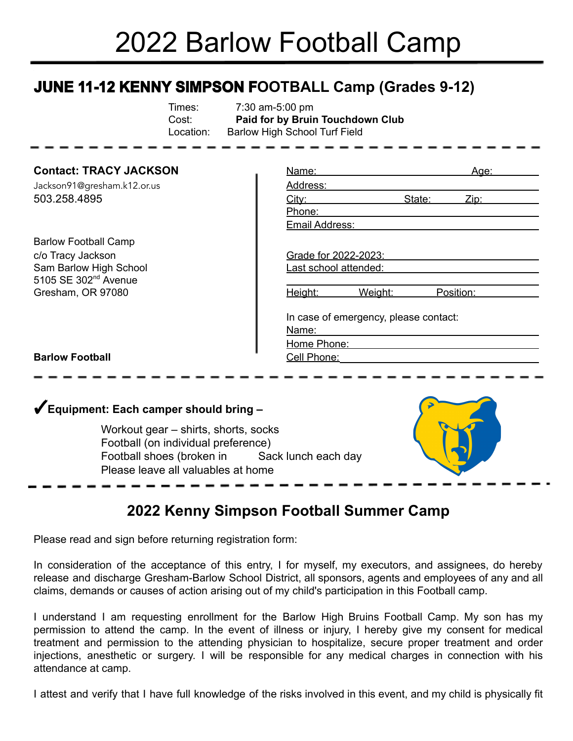# 2022 Barlow Football Camp

# **JUNE 11-12 KENNY SIMPSON FOOTBALL Camp (Grades 9-12)**

| Times:    | 7:30 am-5:00 pm                  |
|-----------|----------------------------------|
| Cost:     | Paid for by Bruin Touchdown Club |
| Location: | Barlow High School Turf Field    |

### **Contact: TRACY JACKSON**

Jackson91@gresham.k12.or.us 503.258.4895

Barlow Football Camp c/o Tracy Jackson Sam Barlow High School 5105 SE 302<sup>nd</sup> Avenue Gresham, OR 97080

| Name:                                          |         |        | Aae:      |  |  |  |
|------------------------------------------------|---------|--------|-----------|--|--|--|
| Address:                                       |         |        |           |  |  |  |
| <u>City:</u>                                   |         | State: | Zip:      |  |  |  |
| Phone:                                         |         |        |           |  |  |  |
| Email Address:                                 |         |        |           |  |  |  |
|                                                |         |        |           |  |  |  |
| Grade for 2022-2023:                           |         |        |           |  |  |  |
| Last school attended:                          |         |        |           |  |  |  |
|                                                |         |        |           |  |  |  |
| Height:                                        | Weight: |        | Position: |  |  |  |
| In case of emergency, please contact:<br>Name: |         |        |           |  |  |  |
| Home Phone:                                    |         |        |           |  |  |  |
| <u>Cell Phone:</u>                             |         |        |           |  |  |  |

#### **Barlow Football**

## ✓**Equipment: Each camper should bring –**

Workout gear – shirts, shorts, socks Football (on individual preference) Football shoes (broken in Sack lunch each day Please leave all valuables at home



## **2022 Kenny Simpson Football Summer Camp**

Please read and sign before returning registration form:

In consideration of the acceptance of this entry, I for myself, my executors, and assignees, do hereby release and discharge Gresham-Barlow School District, all sponsors, agents and employees of any and all claims, demands or causes of action arising out of my child's participation in this Football camp.

I understand I am requesting enrollment for the Barlow High Bruins Football Camp. My son has my permission to attend the camp. In the event of illness or injury, I hereby give my consent for medical treatment and permission to the attending physician to hospitalize, secure proper treatment and order injections, anesthetic or surgery. I will be responsible for any medical charges in connection with his attendance at camp.

I attest and verify that I have full knowledge of the risks involved in this event, and my child is physically fit